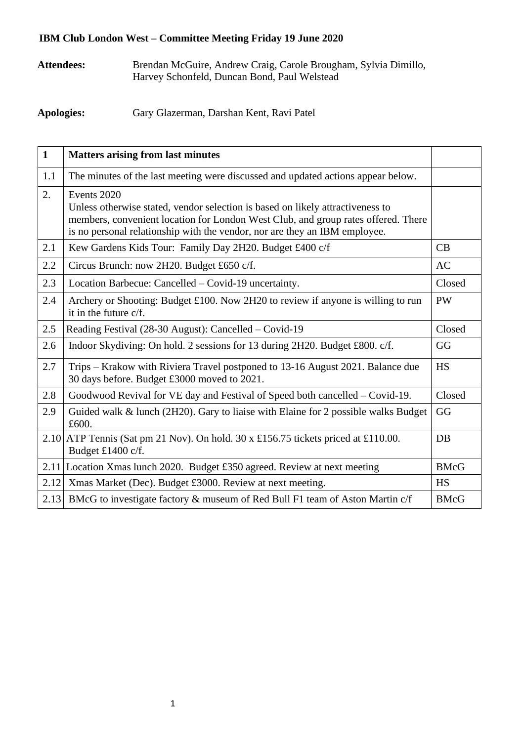## **IBM Club London West – Committee Meeting Friday 19 June 2020**

**Attendees:** Brendan McGuire, Andrew Craig, Carole Brougham, Sylvia Dimillo, Harvey Schonfeld, Duncan Bond, Paul Welstead

**Apologies:** Gary Glazerman, Darshan Kent, Ravi Patel

| $\mathbf{1}$ | <b>Matters arising from last minutes</b>                                                                                                                                                                                                                         |             |
|--------------|------------------------------------------------------------------------------------------------------------------------------------------------------------------------------------------------------------------------------------------------------------------|-------------|
| 1.1          | The minutes of the last meeting were discussed and updated actions appear below.                                                                                                                                                                                 |             |
| 2.           | Events 2020<br>Unless otherwise stated, vendor selection is based on likely attractiveness to<br>members, convenient location for London West Club, and group rates offered. There<br>is no personal relationship with the vendor, nor are they an IBM employee. |             |
| 2.1          | Kew Gardens Kids Tour: Family Day 2H20. Budget £400 c/f                                                                                                                                                                                                          | CB          |
| 2.2          | Circus Brunch: now 2H20. Budget £650 c/f.                                                                                                                                                                                                                        | AC          |
| 2.3          | Location Barbecue: Cancelled – Covid-19 uncertainty.                                                                                                                                                                                                             | Closed      |
| 2.4          | Archery or Shooting: Budget £100. Now 2H20 to review if anyone is willing to run<br>it in the future c/f.                                                                                                                                                        | <b>PW</b>   |
| 2.5          | Reading Festival (28-30 August): Cancelled – Covid-19                                                                                                                                                                                                            | Closed      |
| 2.6          | Indoor Skydiving: On hold. 2 sessions for 13 during 2H20. Budget £800. c/f.                                                                                                                                                                                      | GG          |
| 2.7          | Trips – Krakow with Riviera Travel postponed to 13-16 August 2021. Balance due<br>30 days before. Budget £3000 moved to 2021.                                                                                                                                    | <b>HS</b>   |
| 2.8          | Goodwood Revival for VE day and Festival of Speed both cancelled – Covid-19.                                                                                                                                                                                     | Closed      |
| 2.9          | Guided walk & lunch (2H20). Gary to liaise with Elaine for 2 possible walks Budget<br>£600.                                                                                                                                                                      | GG          |
|              | 2.10 ATP Tennis (Sat pm 21 Nov). On hold. 30 x £156.75 tickets priced at £110.00.<br>Budget £1400 c/f.                                                                                                                                                           | DB          |
|              | 2.11 Location Xmas lunch 2020. Budget £350 agreed. Review at next meeting                                                                                                                                                                                        | <b>BMcG</b> |
| 2.12         | Xmas Market (Dec). Budget £3000. Review at next meeting.                                                                                                                                                                                                         | <b>HS</b>   |
|              | 2.13 BMcG to investigate factory & museum of Red Bull F1 team of Aston Martin c/f                                                                                                                                                                                | <b>BMcG</b> |